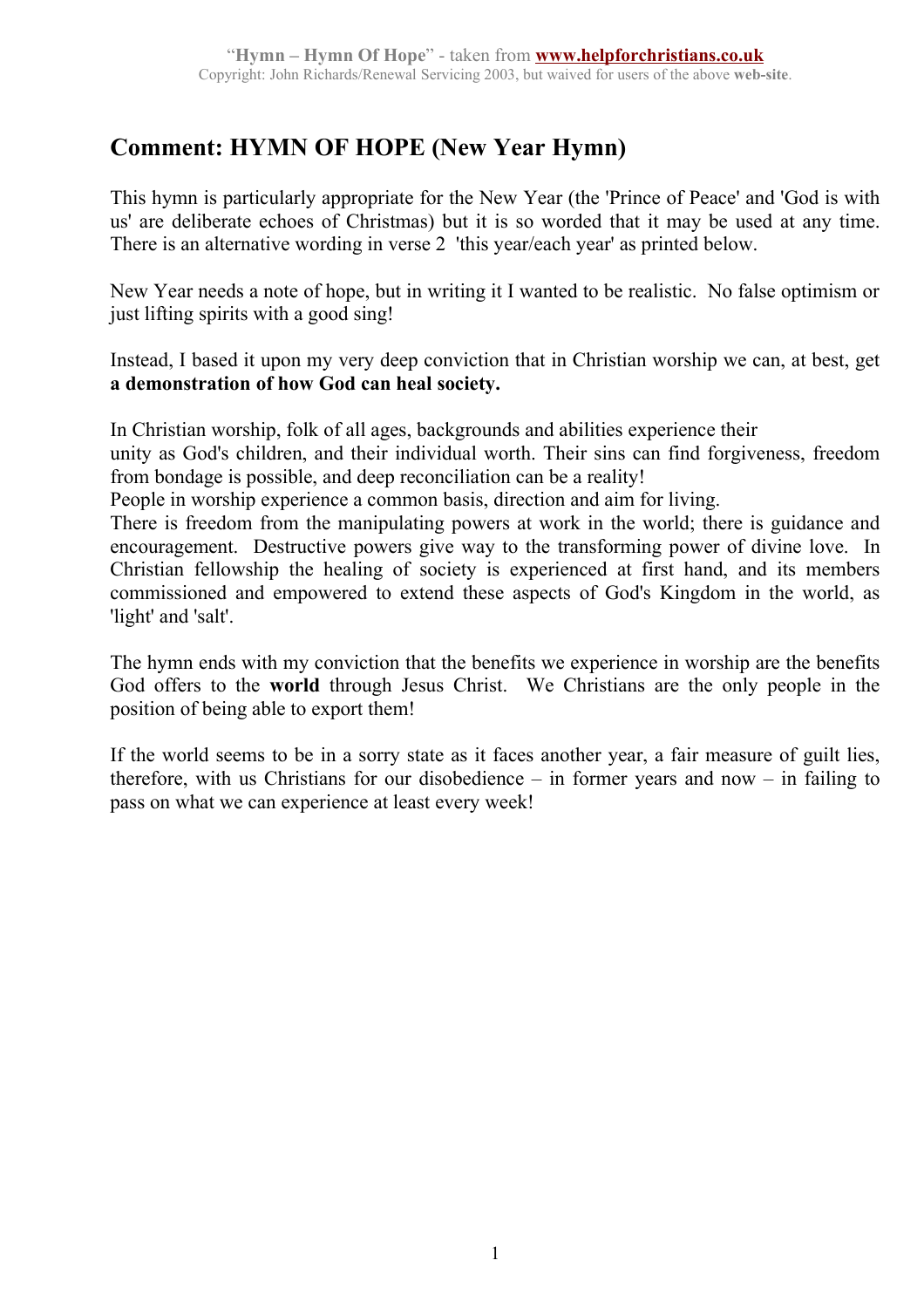# **Comment: HYMN OF HOPE (New Year Hymn)**

This hymn is particularly appropriate for the New Year (the 'Prince of Peace' and 'God is with us' are deliberate echoes of Christmas) but it is so worded that it may be used at any time. There is an alternative wording in verse 2 'this year/each year' as printed below.

New Year needs a note of hope, but in writing it I wanted to be realistic. No false optimism or just lifting spirits with a good sing!

Instead, I based it upon my very deep conviction that in Christian worship we can, at best, get **a demonstration of how God can heal society.** 

In Christian worship, folk of all ages, backgrounds and abilities experience their

unity as God's children, and their individual worth. Their sins can find forgiveness, freedom from bondage is possible, and deep reconciliation can be a reality!

People in worship experience a common basis, direction and aim for living.

There is freedom from the manipulating powers at work in the world; there is guidance and encouragement. Destructive powers give way to the transforming power of divine love. In Christian fellowship the healing of society is experienced at first hand, and its members commissioned and empowered to extend these aspects of God's Kingdom in the world, as 'light' and 'salt'.

The hymn ends with my conviction that the benefits we experience in worship are the benefits God offers to the **world** through Jesus Christ. We Christians are the only people in the position of being able to export them!

If the world seems to be in a sorry state as it faces another year, a fair measure of guilt lies, therefore, with us Christians for our disobedience – in former years and now – in failing to pass on what we can experience at least every week!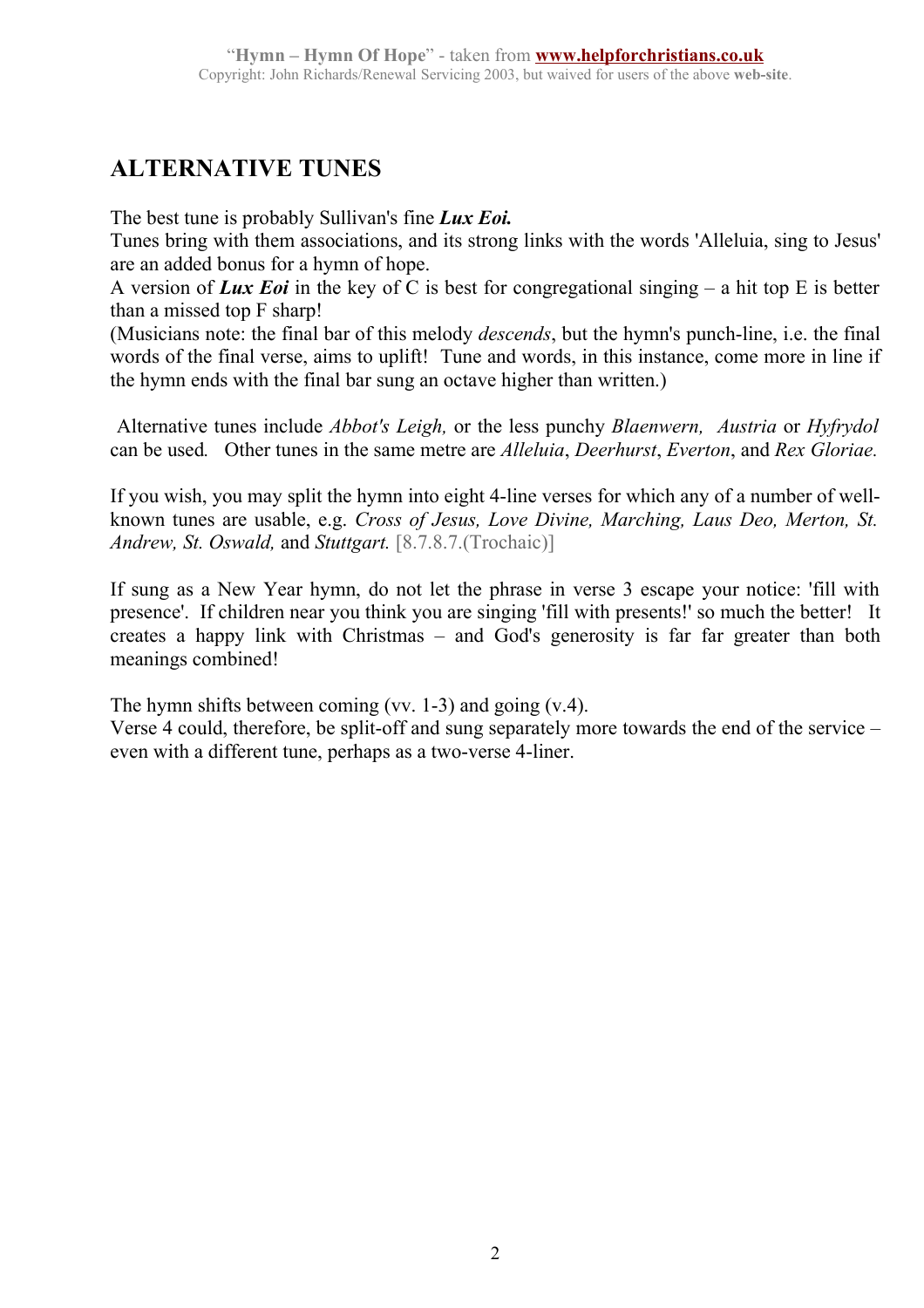## **ALTERNATIVE TUNES**

The best tune is probably Sullivan's fine *Lux Eoi.* 

Tunes bring with them associations, and its strong links with the words 'Alleluia, sing to Jesus' are an added bonus for a hymn of hope.

A version of *Lux Eoi* in the key of C is best for congregational singing – a hit top E is better than a missed top F sharp!

(Musicians note: the final bar of this melody *descends*, but the hymn's punch-line, i.e. the final words of the final verse, aims to uplift! Tune and words, in this instance, come more in line if the hymn ends with the final bar sung an octave higher than written.)

 Alternative tunes include *Abbot's Leigh,* or the less punchy *Blaenwern, Austria* or *Hyfrydol* can be used*.* Other tunes in the same metre are *Alleluia*, *Deerhurst*, *Everton*, and *Rex Gloriae.*

If you wish, you may split the hymn into eight 4-line verses for which any of a number of wellknown tunes are usable, e.g. *Cross of Jesus, Love Divine, Marching, Laus Deo, Merton, St. Andrew, St. Oswald,* and *Stuttgart.* [8.7.8.7.(Trochaic)]

If sung as a New Year hymn, do not let the phrase in verse 3 escape your notice: 'fill with presence'. If children near you think you are singing 'fill with presents!' so much the better! It creates a happy link with Christmas – and God's generosity is far far greater than both meanings combined!

The hymn shifts between coming (vv. 1-3) and going (v.4). Verse 4 could, therefore, be split-off and sung separately more towards the end of the service – even with a different tune, perhaps as a two-verse 4-liner.